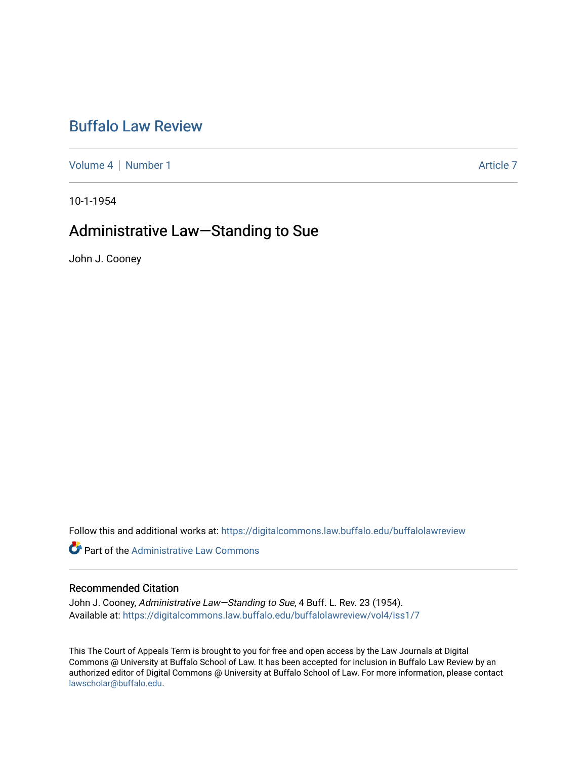# [Buffalo Law Review](https://digitalcommons.law.buffalo.edu/buffalolawreview)

[Volume 4](https://digitalcommons.law.buffalo.edu/buffalolawreview/vol4) | [Number 1](https://digitalcommons.law.buffalo.edu/buffalolawreview/vol4/iss1) Article 7

10-1-1954

## Administrative Law—Standing to Sue

John J. Cooney

Follow this and additional works at: [https://digitalcommons.law.buffalo.edu/buffalolawreview](https://digitalcommons.law.buffalo.edu/buffalolawreview?utm_source=digitalcommons.law.buffalo.edu%2Fbuffalolawreview%2Fvol4%2Fiss1%2F7&utm_medium=PDF&utm_campaign=PDFCoverPages) 

**Part of the Administrative Law Commons** 

### Recommended Citation

John J. Cooney, Administrative Law-Standing to Sue, 4 Buff. L. Rev. 23 (1954). Available at: [https://digitalcommons.law.buffalo.edu/buffalolawreview/vol4/iss1/7](https://digitalcommons.law.buffalo.edu/buffalolawreview/vol4/iss1/7?utm_source=digitalcommons.law.buffalo.edu%2Fbuffalolawreview%2Fvol4%2Fiss1%2F7&utm_medium=PDF&utm_campaign=PDFCoverPages) 

This The Court of Appeals Term is brought to you for free and open access by the Law Journals at Digital Commons @ University at Buffalo School of Law. It has been accepted for inclusion in Buffalo Law Review by an authorized editor of Digital Commons @ University at Buffalo School of Law. For more information, please contact [lawscholar@buffalo.edu](mailto:lawscholar@buffalo.edu).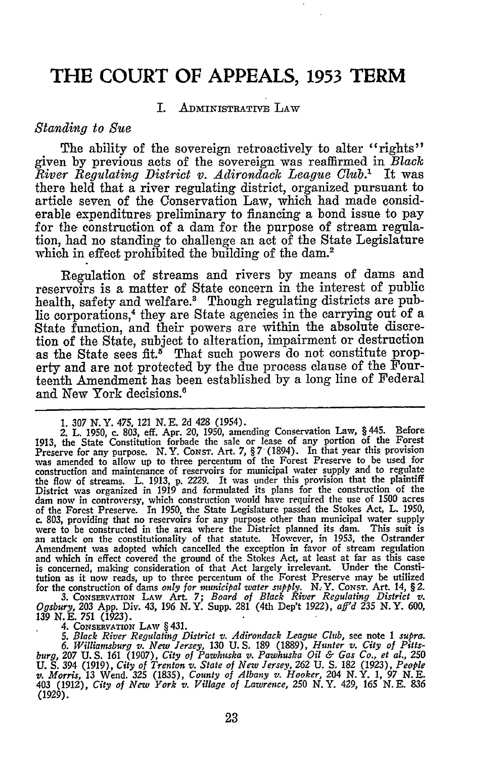### **THE COURT OF APPEALS, 1953 TERM**

#### I. ADMINISTRATIVE LAW

#### *Standing to Sue*

The ability of the sovereign retroactively to alter "rights" given by previous acts of the sovereign was reaffirmed in *Black River Regulating District v. Adirondack League Club.'* It was there held that a river regulating district, organized pursuant to article seven of the Conservation Law, which had made considerable expenditures preliminary to financing a bond issue to pay for the construction of a dam for the purpose of stream regulation, had no standing to challenge an act of the State Legislature which in effect prohibited the building of the dam.<sup>2</sup>

Regulation of streams and rivers by means of dams and reservoirs is a matter of State concern in the interest of public health, safety and welfare.<sup>3</sup> Though regulating districts are public corporations,<sup>4</sup> they are State agencies in the carrying out of a State function, and their powers are within the absolute discretion of the State, subject to alteration, impairment or destruction as the State sees fit.<sup>8</sup> That such powers do not constitute property and are not protected by the due process clause of the Fourteenth Amendment has been established by a long line of Federal and New York decisions.'

**3. CONSERVATION LAw** Art. **7;** *Board of Black River Regulating District v. Ogsbury,* **203** App. Div. 43, 196 N.Y. Supp. **281** (4th Dep't 1922), *aff'd* **235** N.Y. **600, 139 N.E. 751** (1923).

4. **CONSERvATION LAw** § 431.

*5. Black River Regulating District v. Adirondack League Club,* see note 1 *supra. 6. Williamsburg v. New Jersey,* **130** U. **S.** 189 (1889), *Hunter v. City of Pittsburg, 207* U. **S.** 161 (1907), *City of Pawhuska v. Pawhuska Oil & Gas Co., et al.,* **250** U. S. 394 (1919), City of Trenton v. State of New Jersey, 262 U. S. 182 (1923), People<br>v. Morris, 13 Wend. 325 (1835), County of Albany v. Hooker, 204 N.Y. 1, 97 N.E. 403 (1912), *City of New York v. Village of Lawrence,* **250** N.Y. 429, **165** N. **E.** 836 **(1929).**

<sup>1.</sup> *307 N.Y.* 475, *121* N.E. 2d 428 (1954). 2. L. 1950, c. 803, eff. Apr. 20, 1950, amending Conservation Law, § 445. Before 1913, the State Constitution forbade the sale or lease of any portion of the Forest Preserve for any purpose. N.Y. Const. Art. 7, § 7 (1894). In that year this provision was amended to allow up to three percentum of the Forest Preserve to be used for construction and maintenance of reservoirs for municipal water supply and to regulate the flow of streams. L. 1913, p. 2229. It was under this provision that the plaintiff District was organized in 1919 and formulated its plans for the construction of the dam now in controversy, which construction would have required the use of 1500 acres of the Forest Preserve. In 1950, the State Legislature passed the Stokes Act, L. 1950, c. 803, providing that no reservoirs for any purpose other than municipal water supply were to be constructed in the area where the District planned its dam. This suit is an attack on the constitutionality of that statute. However, in **1953,** the Ostrander Amendment was adopted which cancelled the exception in favor of stream regulation and which in effect covered the ground of the Stokes Act, at least at far as this case is concerned, making consideration of that Act largely irrelevant. Under the Constitution as it now reads, up to three percentum of the Forest Preserve may be utilized for the construction of dams only for municipal water